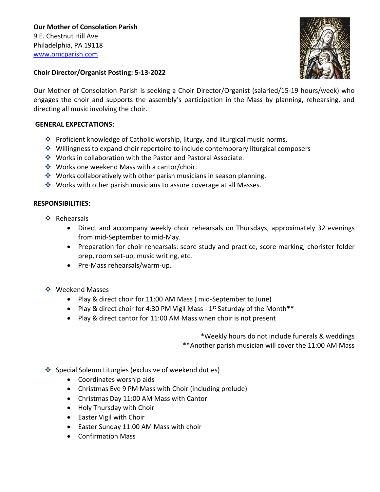**Our Mother of Consolation Parish**  9 E. Chestnut Hill Ave Philadelphia, PA 19118 [www.omcparish.com](http://www.omcparish.com/)



## **Choir Director/Organist Posting: 5-13-2022**

Our Mother of Consolation Parish is seeking a Choir Director/Organist (salaried/15-19 hours/week) who engages the choir and supports the assembly's participation in the Mass by planning, rehearsing, and directing all music involving the choir.

## **GENERAL EXPECTATIONS:**

- ❖ Proficient knowledge of Catholic worship, liturgy, and liturgical music norms.
- ❖ Willingness to expand choir repertoire to include contemporary liturgical composers
- ❖ Works in collaboration with the Pastor and Pastoral Associate.
- ❖ Works one weekend Mass with a cantor/choir.
- ❖ Works collaboratively with other parish musicians in season planning.
- ❖ Works with other parish musicians to assure coverage at all Masses.

## **RESPONSIBILITIES:**

- ❖ Rehearsals
	- Direct and accompany weekly choir rehearsals on Thursdays, approximately 32 evenings from mid-September to mid-May.
	- Preparation for choir rehearsals: score study and practice, score marking, chorister folder prep, room set-up, music writing, etc.
	- Pre-Mass rehearsals/warm-up.
- ❖ Weekend Masses
	- Play & direct choir for 11:00 AM Mass ( mid-September to June)
	- Play & direct choir for 4:30 PM Vigil Mass  $1<sup>st</sup>$  Saturday of the Month\*\*
	- Play & direct cantor for 11:00 AM Mass when choir is not present

\*Weekly hours do not include funerals & weddings \*\*Another parish musician will cover the 11:00 AM Mass

- ❖ Special Solemn Liturgies (exclusive of weekend duties)
	- Coordinates worship aids
	- Christmas Eve 9 PM Mass with Choir (including prelude)
	- Christmas Day 11:00 AM Mass with Cantor
	- Holy Thursday with Choir
	- Easter Vigil with Choir
	- Easter Sunday 11:00 AM Mass with choir
	- Confirmation Mass